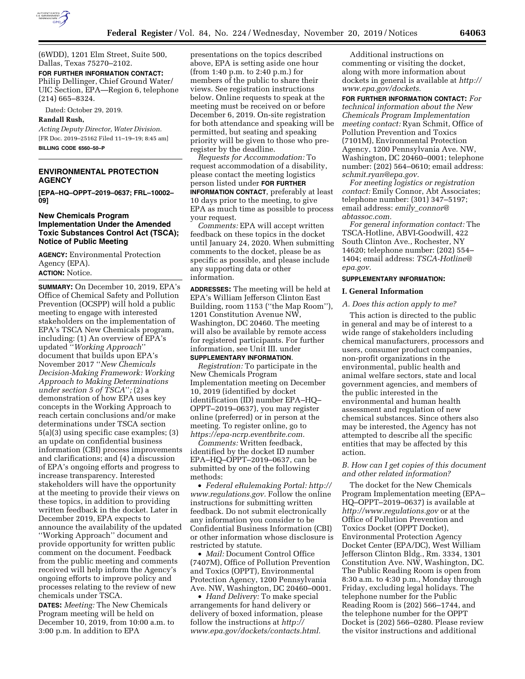

(6WDD), 1201 Elm Street, Suite 500, Dallas, Texas 75270–2102.

**FOR FURTHER INFORMATION CONTACT:**  Philip Dellinger, Chief Ground Water/ UIC Section, EPA—Region 6, telephone (214) 665–8324.

Dated: October 29, 2019.

#### **Randall Rush,**

*Acting Deputy Director, Water Division.*  [FR Doc. 2019–25162 Filed 11–19–19; 8:45 am] **BILLING CODE 6560–50–P** 

# **ENVIRONMENTAL PROTECTION AGENCY**

**[EPA–HQ–OPPT–2019–0637; FRL–10002– 09]** 

### **New Chemicals Program Implementation Under the Amended Toxic Substances Control Act (TSCA); Notice of Public Meeting**

**AGENCY:** Environmental Protection Agency (EPA). **ACTION:** Notice.

**SUMMARY:** On December 10, 2019, EPA's Office of Chemical Safety and Pollution Prevention (OCSPP) will hold a public meeting to engage with interested stakeholders on the implementation of EPA's TSCA New Chemicals program, including: (1) An overview of EPA's updated ''*Working Approach*'' document that builds upon EPA's November 2017 ''*New Chemicals Decision-Making Framework: Working Approach to Making Determinations under section 5 of TSCA*''*;* (2) a demonstration of how EPA uses key concepts in the Working Approach to reach certain conclusions and/or make determinations under TSCA section 5(a)(3) using specific case examples; (3) an update on confidential business information (CBI) process improvements and clarifications; and (4) a discussion of EPA's ongoing efforts and progress to increase transparency. Interested stakeholders will have the opportunity at the meeting to provide their views on these topics, in addition to providing written feedback in the docket. Later in December 2019, EPA expects to announce the availability of the updated ''Working Approach'' document and provide opportunity for written public comment on the document. Feedback from the public meeting and comments received will help inform the Agency's ongoing efforts to improve policy and processes relating to the review of new chemicals under TSCA.

**DATES:** *Meeting:* The New Chemicals Program meeting will be held on December 10, 2019, from 10:00 a.m. to 3:00 p.m. In addition to EPA

presentations on the topics described above, EPA is setting aside one hour (from 1:40 p.m. to 2:40 p.m.) for members of the public to share their views. See registration instructions below. Online requests to speak at the meeting must be received on or before December 6, 2019. On-site registration for both attendance and speaking will be permitted, but seating and speaking priority will be given to those who preregister by the deadline.

*Requests for Accommodation:* To request accommodation of a disability, please contact the meeting logistics person listed under **FOR FURTHER INFORMATION CONTACT**, preferably at least 10 days prior to the meeting, to give EPA as much time as possible to process your request.

*Comments:* EPA will accept written feedback on these topics in the docket until January 24, 2020. When submitting comments to the docket, please be as specific as possible, and please include any supporting data or other information.

**ADDRESSES:** The meeting will be held at EPA's William Jefferson Clinton East Building, room 1153 (''the Map Room''), 1201 Constitution Avenue NW, Washington, DC 20460. The meeting will also be available by remote access for registered participants. For further information, see Unit III. under **SUPPLEMENTARY INFORMATION**.

*Registration:* To participate in the New Chemicals Program Implementation meeting on December 10, 2019 (identified by docket identification (ID) number EPA–HQ– OPPT–2019–0637), you may register online (preferred) or in person at the meeting. To register online, go to *[https://epa-ncrp.eventbrite.com.](https://epa-ncrp.eventbrite.com)* 

*Comments:* Written feedback, identified by the docket ID number EPA–HQ–OPPT–2019–0637, can be submitted by one of the following methods:

• *Federal eRulemaking Portal: [http://](http://www.regulations.gov)  [www.regulations.gov.](http://www.regulations.gov)* Follow the online instructions for submitting written feedback. Do not submit electronically any information you consider to be Confidential Business Information (CBI) or other information whose disclosure is restricted by statute.

• *Mail:* Document Control Office (7407M), Office of Pollution Prevention and Toxics (OPPT), Environmental Protection Agency, 1200 Pennsylvania Ave. NW, Washington, DC 20460–0001.

• *Hand Delivery:* To make special arrangements for hand delivery or delivery of boxed information, please follow the instructions at *[http://](http://www.epa.gov/dockets/contacts.html) [www.epa.gov/dockets/contacts.html.](http://www.epa.gov/dockets/contacts.html)* 

Additional instructions on commenting or visiting the docket, along with more information about dockets in general is available at *[http://](http://www.epa.gov/dockets)  [www.epa.gov/dockets.](http://www.epa.gov/dockets)* 

**FOR FURTHER INFORMATION CONTACT:** *For technical information about the New Chemicals Program Implementation meeting contact:* Ryan Schmit, Office of Pollution Prevention and Toxics (7101M), Environmental Protection Agency, 1200 Pennsylvania Ave. NW, Washington, DC 20460–0001; telephone number: (202) 564–0610; email address: *[schmit.ryan@epa.gov.](mailto:schmit.ryan@epa.gov)* 

*For meeting logistics or registration contact:* Emily Connor, Abt Associates; telephone number: (301) 347–5197; email address: *emily*\_*[connor@](mailto:emily_connor@abtassoc.com) [abtassoc.com.](mailto:emily_connor@abtassoc.com)* 

*For general information contact:* The TSCA-Hotline, ABVI-Goodwill, 422 South Clinton Ave., Rochester, NY 14620; telephone number: (202) 554– 1404; email address: *[TSCA-Hotline@](mailto:TSCA-Hotline@epa.gov) [epa.gov.](mailto:TSCA-Hotline@epa.gov)* 

# **SUPPLEMENTARY INFORMATION:**

### **I. General Information**

#### *A. Does this action apply to me?*

This action is directed to the public in general and may be of interest to a wide range of stakeholders including chemical manufacturers, processors and users, consumer product companies, non-profit organizations in the environmental, public health and animal welfare sectors, state and local government agencies, and members of the public interested in the environmental and human health assessment and regulation of new chemical substances. Since others also may be interested, the Agency has not attempted to describe all the specific entities that may be affected by this action.

### *B. How can I get copies of this document and other related information?*

The docket for the New Chemicals Program Implementation meeting (EPA– HQ–OPPT–2019–0637) is available at *<http://www.regulations.gov>* or at the Office of Pollution Prevention and Toxics Docket (OPPT Docket), Environmental Protection Agency Docket Center (EPA/DC), West William Jefferson Clinton Bldg., Rm. 3334, 1301 Constitution Ave. NW, Washington, DC. The Public Reading Room is open from 8:30 a.m. to 4:30 p.m., Monday through Friday, excluding legal holidays. The telephone number for the Public Reading Room is (202) 566–1744, and the telephone number for the OPPT Docket is (202) 566–0280. Please review the visitor instructions and additional